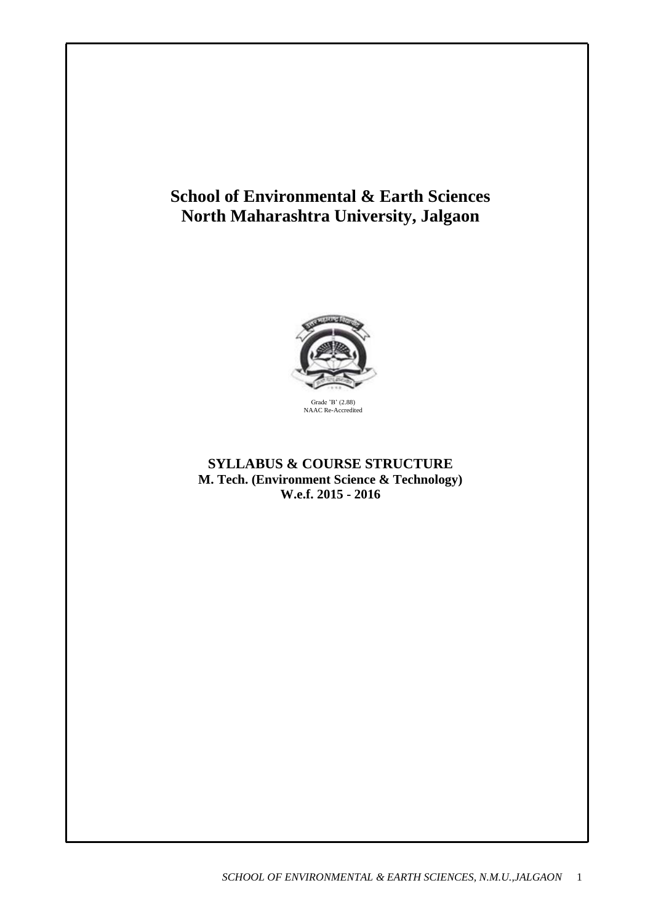# **School of Environmental & Earth Sciences North Maharashtra University, Jalgaon**



# **SYLLABUS & COURSE STRUCTURE M. Tech. (Environment Science & Technology) W.e.f. 2015 - 2016**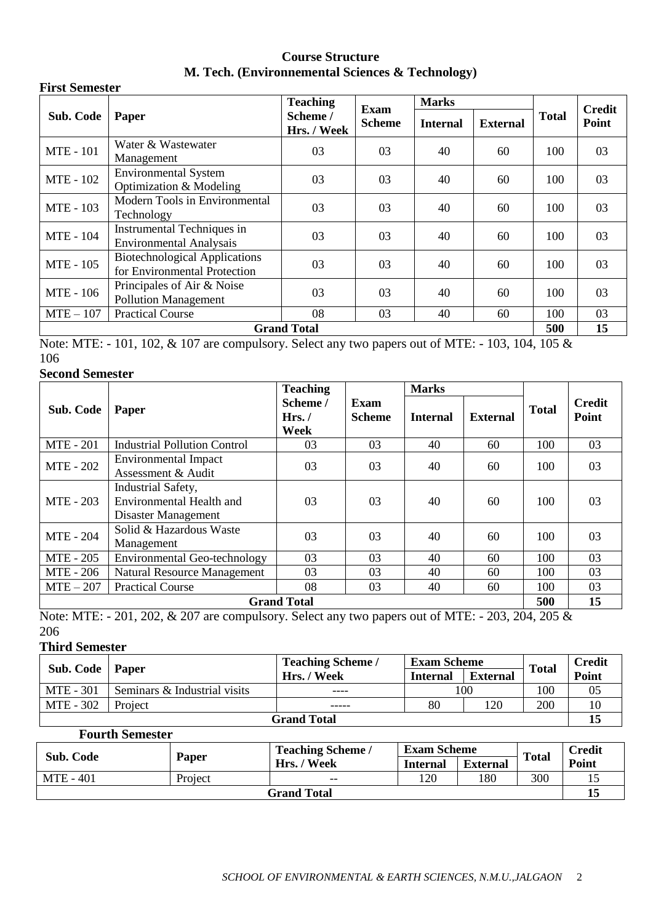# **Course Structure M. Tech. (Environnemental Sciences & Technology)**

| <b>First Semester</b>                                                  |                                                                                |                                            |                       |                 |                 |              |               |
|------------------------------------------------------------------------|--------------------------------------------------------------------------------|--------------------------------------------|-----------------------|-----------------|-----------------|--------------|---------------|
|                                                                        | Paper                                                                          | <b>Teaching</b><br>Scheme /<br>Hrs. / Week | Exam<br><b>Scheme</b> | <b>Marks</b>    |                 |              | <b>Credit</b> |
| Sub. Code                                                              |                                                                                |                                            |                       | <b>Internal</b> | <b>External</b> | <b>Total</b> | Point         |
| <b>MTE</b> - 101                                                       | Water & Wastewater<br>Management                                               | 03                                         | 03                    | 40              | 60              | 100          | 03            |
| <b>MTE - 102</b>                                                       | <b>Environmental System</b><br>03<br>03<br>40<br>60<br>Optimization & Modeling |                                            | 100                   | 03              |                 |              |               |
| <b>MTE - 103</b>                                                       | Modern Tools in Environmental<br>Technology                                    | 03                                         | 03                    | 40              | 60              | 100          | 03            |
| <b>MTE</b> - 104                                                       | Instrumental Techniques in<br><b>Environmental Analysais</b>                   | 03                                         | 03                    | 40              | 60              | 100          | 03            |
| <b>MTE - 105</b>                                                       | <b>Biotechnological Applications</b><br>for Environmental Protection           | 03                                         | 03                    | 40              | 60              | 100          | 03            |
| Principales of Air & Noise<br>MTE - 106<br><b>Pollution Management</b> |                                                                                | 03                                         | 03                    | 40              | 60              | 100          | 03            |
| $MTE - 107$                                                            | 08<br>03<br><b>Practical Course</b><br>40                                      |                                            | 60                    | 100             | 03              |              |               |
| <b>Grand Total</b>                                                     |                                                                                |                                            |                       |                 |                 | 500          | 15            |

Note: MTE: - 101, 102, & 107 are compulsory. Select any two papers out of MTE: - 103, 104, 105 & 106

# **Second Semester**

|                    | Paper                                                                                                | <b>Teaching</b>            |                       | <b>Marks</b>    |                 |              |                        |
|--------------------|------------------------------------------------------------------------------------------------------|----------------------------|-----------------------|-----------------|-----------------|--------------|------------------------|
| Sub. Code          |                                                                                                      | Scheme /<br>Hrs. /<br>Week | Exam<br><b>Scheme</b> | <b>Internal</b> | <b>External</b> | <b>Total</b> | <b>Credit</b><br>Point |
| <b>MTE</b> - 201   | <b>Industrial Pollution Control</b>                                                                  | 03                         | 03                    | 40<br>60        |                 | 100          | 03                     |
| <b>MTE - 202</b>   | Environmental Impact<br>Assessment & Audit                                                           | 03                         | 03                    | 40<br>60        |                 | 100          | 03                     |
| MTE - 203          | Industrial Safety,<br><b>Environmental Health and</b><br>03<br>03<br>40<br>60<br>Disaster Management |                            |                       | 100             | 03              |              |                        |
| <b>MTE - 204</b>   | Solid & Hazardous Waste<br>Management                                                                | 03                         | 03                    | 40              | 60              | 100          | 03                     |
| MTE - 205          | <b>Environmental Geo-technology</b>                                                                  | 03                         | 03                    | 40              | 60              | 100          | 03                     |
| <b>MTE - 206</b>   | 03<br><b>Natural Resource Management</b>                                                             |                            | 03                    | 40              | 60              | 100          | 03                     |
| $MTE-207$          | <b>Practical Course</b><br>08<br>03<br>40<br>60                                                      |                            | 100                   | 03              |                 |              |                        |
| <b>Grand Total</b> |                                                                                                      |                            |                       |                 |                 | 500          | 15                     |

Note: MTE: - 201, 202, & 207 are compulsory. Select any two papers out of MTE: - 203, 204, 205 & 206

# **Third Semester**

| Sub. Code   Paper  |                              | <b>Teaching Scheme /</b> | <b>Exam Scheme</b> |                 | <b>Total</b> | <b>Credit</b> |
|--------------------|------------------------------|--------------------------|--------------------|-----------------|--------------|---------------|
|                    |                              | Hrs. / Week              | <b>Internal</b>    | <b>External</b> |              | Point         |
| <b>MTE</b> - 301   | Seminars & Industrial visits | ----                     | 100                |                 | 100          | 05            |
| MTE - 302          | Project                      | 80<br>120<br>-----       |                    | 200             |              |               |
| <b>Grand Total</b> |                              |                          |                    |                 |              |               |

# **Fourth Semester**

| Sub. Code          | Paper   | <b>Teaching Scheme /</b> | <b>Exam Scheme</b> |                 | <b>Total</b> | Credit |
|--------------------|---------|--------------------------|--------------------|-----------------|--------------|--------|
|                    |         | Hrs. / Week              | <b>Internal</b>    | <b>External</b> |              | Point  |
| MTE - 401          | Project | $- -$                    | 120                | 180             | 300          |        |
| <b>Grand Total</b> |         |                          |                    |                 |              |        |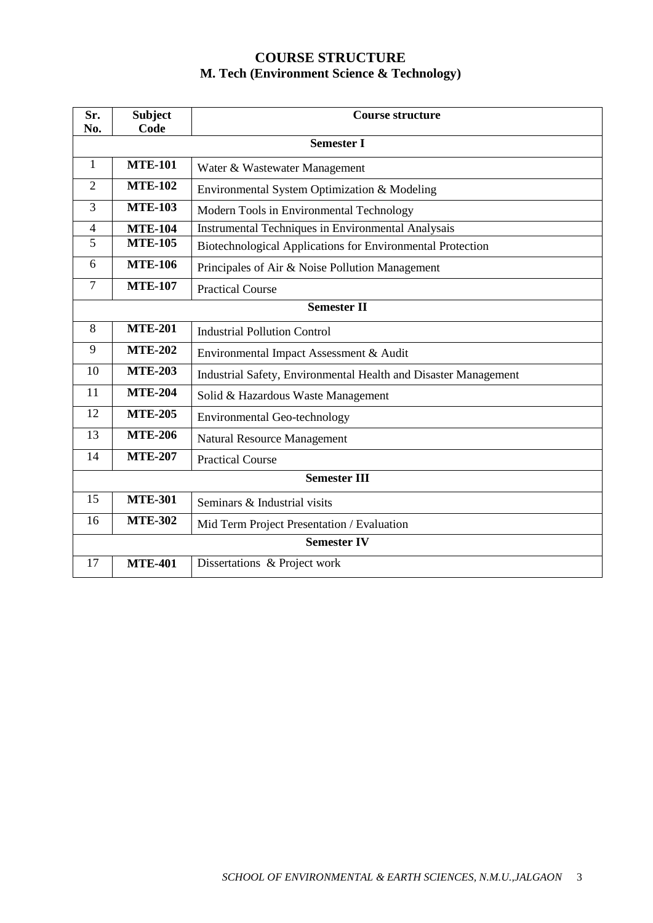# **COURSE STRUCTURE M. Tech (Environment Science & Technology)**

| Sr.<br>No.          | <b>Subject</b><br>Code | <b>Course structure</b>                                         |  |  |  |
|---------------------|------------------------|-----------------------------------------------------------------|--|--|--|
|                     | <b>Semester I</b>      |                                                                 |  |  |  |
| 1                   | <b>MTE-101</b>         | Water & Wastewater Management                                   |  |  |  |
| $\overline{2}$      | <b>MTE-102</b>         | Environmental System Optimization & Modeling                    |  |  |  |
| 3                   | <b>MTE-103</b>         | Modern Tools in Environmental Technology                        |  |  |  |
| 4                   | <b>MTE-104</b>         | Instrumental Techniques in Environmental Analysais              |  |  |  |
| $\overline{5}$      | <b>MTE-105</b>         | Biotechnological Applications for Environmental Protection      |  |  |  |
| 6                   | <b>MTE-106</b>         | Principales of Air & Noise Pollution Management                 |  |  |  |
| $\overline{7}$      | <b>MTE-107</b>         | <b>Practical Course</b>                                         |  |  |  |
|                     | <b>Semester II</b>     |                                                                 |  |  |  |
| 8                   | <b>MTE-201</b>         | <b>Industrial Pollution Control</b>                             |  |  |  |
| 9                   | <b>MTE-202</b>         | Environmental Impact Assessment & Audit                         |  |  |  |
| 10                  | <b>MTE-203</b>         | Industrial Safety, Environmental Health and Disaster Management |  |  |  |
| 11                  | <b>MTE-204</b>         | Solid & Hazardous Waste Management                              |  |  |  |
| 12                  | <b>MTE-205</b>         | <b>Environmental Geo-technology</b>                             |  |  |  |
| 13                  | <b>MTE-206</b>         | <b>Natural Resource Management</b>                              |  |  |  |
| 14                  | <b>MTE-207</b>         | <b>Practical Course</b>                                         |  |  |  |
| <b>Semester III</b> |                        |                                                                 |  |  |  |
| 15                  | <b>MTE-301</b>         | Seminars & Industrial visits                                    |  |  |  |
| 16                  | <b>MTE-302</b>         | Mid Term Project Presentation / Evaluation                      |  |  |  |
| <b>Semester IV</b>  |                        |                                                                 |  |  |  |
| 17                  | <b>MTE-401</b>         | Dissertations & Project work                                    |  |  |  |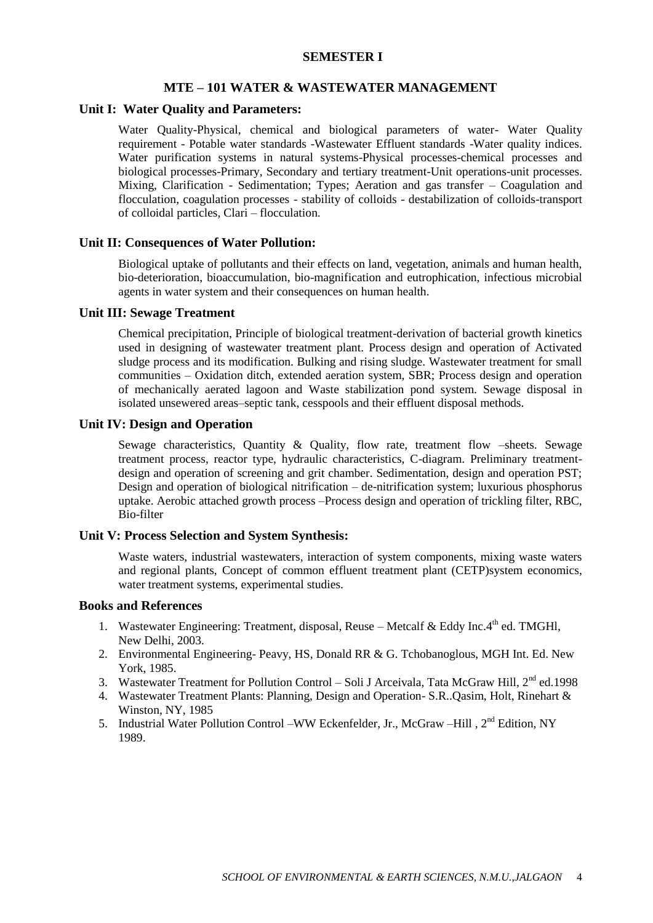#### **SEMESTER I**

#### **MTE – 101 WATER & WASTEWATER MANAGEMENT**

#### **Unit I: Water Quality and Parameters:**

Water Quality-Physical, chemical and biological parameters of water- Water Quality requirement - Potable water standards -Wastewater Effluent standards -Water quality indices. Water purification systems in natural systems-Physical processes-chemical processes and biological processes-Primary, Secondary and tertiary treatment-Unit operations-unit processes. Mixing, Clarification - Sedimentation; Types; Aeration and gas transfer – Coagulation and flocculation, coagulation processes - stability of colloids - destabilization of colloids-transport of colloidal particles, Clari – flocculation.

### **Unit II: Consequences of Water Pollution:**

Biological uptake of pollutants and their effects on land, vegetation, animals and human health, bio-deterioration, bioaccumulation, bio-magnification and eutrophication, infectious microbial agents in water system and their consequences on human health.

## **Unit III: Sewage Treatment**

Chemical precipitation, Principle of biological treatment-derivation of bacterial growth kinetics used in designing of wastewater treatment plant. Process design and operation of Activated sludge process and its modification. Bulking and rising sludge. Wastewater treatment for small communities – Oxidation ditch, extended aeration system, SBR; Process design and operation of mechanically aerated lagoon and Waste stabilization pond system. Sewage disposal in isolated unsewered areas–septic tank, cesspools and their effluent disposal methods.

### **Unit IV: Design and Operation**

Sewage characteristics, Quantity & Quality, flow rate, treatment flow –sheets. Sewage treatment process, reactor type, hydraulic characteristics, C-diagram. Preliminary treatmentdesign and operation of screening and grit chamber. Sedimentation, design and operation PST; Design and operation of biological nitrification – de-nitrification system; luxurious phosphorus uptake. Aerobic attached growth process –Process design and operation of trickling filter, RBC, Bio-filter

## **Unit V: Process Selection and System Synthesis:**

Waste waters, industrial wastewaters, interaction of system components, mixing waste waters and regional plants, Concept of common effluent treatment plant (CETP)system economics, water treatment systems, experimental studies.

- 1. Wastewater Engineering: Treatment, disposal, Reuse Metcalf & Eddy Inc. $4<sup>th</sup>$  ed. TMGHl, New Delhi, 2003.
- 2. Environmental Engineering- Peavy, HS, Donald RR & G. Tchobanoglous, MGH Int. Ed. New York, 1985.
- 3. Wastewater Treatment for Pollution Control Soli J Arceivala, Tata McGraw Hill,  $2<sup>nd</sup>$  ed.1998
- 4. Wastewater Treatment Plants: Planning, Design and Operation- S.R..Qasim, Holt, Rinehart & Winston, NY, 1985
- 5. Industrial Water Pollution Control –WW Eckenfelder, Jr., McGraw –Hill, 2<sup>nd</sup> Edition, NY 1989.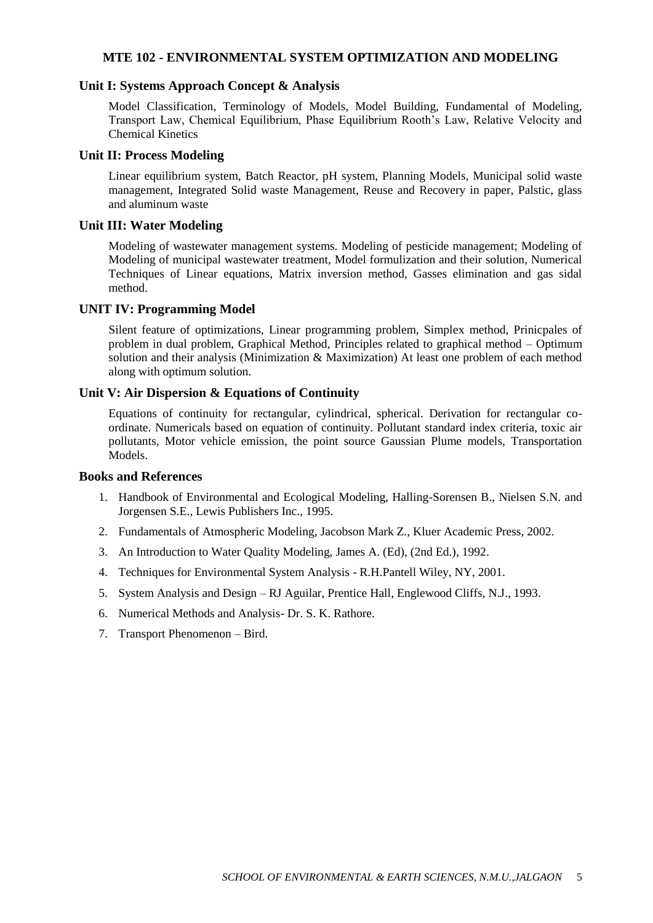## **MTE 102 - ENVIRONMENTAL SYSTEM OPTIMIZATION AND MODELING**

#### **Unit I: Systems Approach Concept & Analysis**

Model Classification, Terminology of Models, Model Building, Fundamental of Modeling, Transport Law, Chemical Equilibrium, Phase Equilibrium Rooth's Law, Relative Velocity and Chemical Kinetics

#### **Unit II: Process Modeling**

Linear equilibrium system, Batch Reactor, pH system, Planning Models, Municipal solid waste management, Integrated Solid waste Management, Reuse and Recovery in paper, Palstic, glass and aluminum waste

#### **Unit III: Water Modeling**

Modeling of wastewater management systems. Modeling of pesticide management; Modeling of Modeling of municipal wastewater treatment, Model formulization and their solution, Numerical Techniques of Linear equations, Matrix inversion method, Gasses elimination and gas sidal method.

## **UNIT IV: Programming Model**

Silent feature of optimizations, Linear programming problem, Simplex method, Prinicpales of problem in dual problem, Graphical Method, Principles related to graphical method – Optimum solution and their analysis (Minimization & Maximization) At least one problem of each method along with optimum solution.

#### **Unit V: Air Dispersion & Equations of Continuity**

Equations of continuity for rectangular, cylindrical, spherical. Derivation for rectangular coordinate. Numericals based on equation of continuity. Pollutant standard index criteria, toxic air pollutants, Motor vehicle emission, the point source Gaussian Plume models, Transportation Models.

- 1. Handbook of Environmental and Ecological Modeling, Halling-Sorensen B., Nielsen S.N. and Jorgensen S.E., Lewis Publishers Inc., 1995.
- 2. Fundamentals of Atmospheric Modeling, Jacobson Mark Z., Kluer Academic Press, 2002.
- 3. An Introduction to Water Quality Modeling, James A. (Ed), (2nd Ed.), 1992.
- 4. Techniques for Environmental System Analysis R.H.Pantell Wiley, NY, 2001.
- 5. System Analysis and Design RJ Aguilar, Prentice Hall, Englewood Cliffs, N.J., 1993.
- 6. Numerical Methods and Analysis- Dr. S. K. Rathore.
- 7. Transport Phenomenon Bird.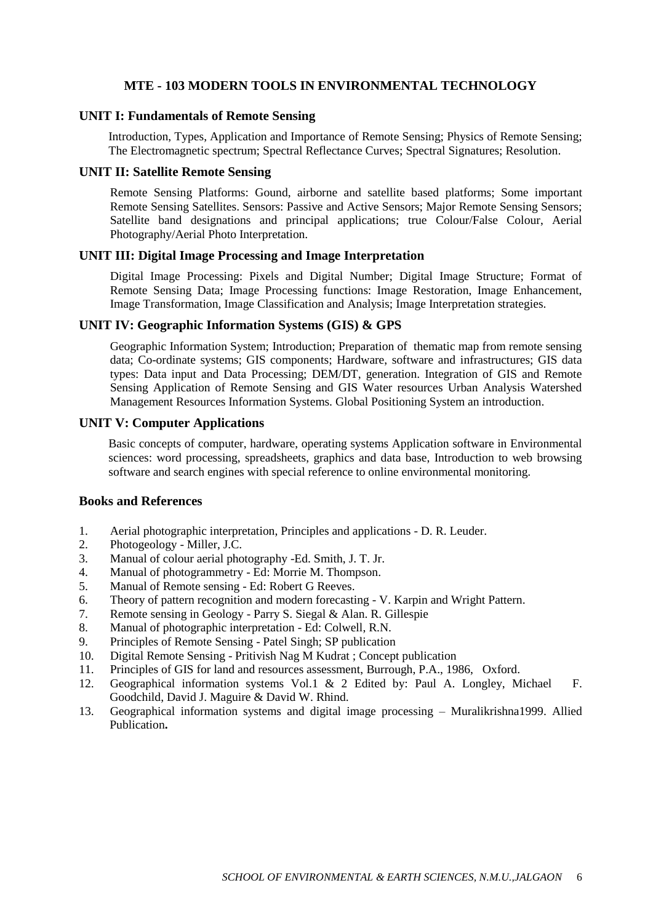## **MTE - 103 MODERN TOOLS IN ENVIRONMENTAL TECHNOLOGY**

#### **UNIT I: Fundamentals of Remote Sensing**

Introduction, Types, Application and Importance of Remote Sensing; Physics of Remote Sensing; The Electromagnetic spectrum; Spectral Reflectance Curves; Spectral Signatures; Resolution.

#### **UNIT II: Satellite Remote Sensing**

Remote Sensing Platforms: Gound, airborne and satellite based platforms; Some important Remote Sensing Satellites. Sensors: Passive and Active Sensors; Major Remote Sensing Sensors; Satellite band designations and principal applications; true Colour/False Colour, Aerial Photography/Aerial Photo Interpretation.

# **UNIT III: Digital Image Processing and Image Interpretation**

Digital Image Processing: Pixels and Digital Number; Digital Image Structure; Format of Remote Sensing Data; Image Processing functions: Image Restoration, Image Enhancement, Image Transformation, Image Classification and Analysis; Image Interpretation strategies.

#### **UNIT IV: Geographic Information Systems (GIS) & GPS**

Geographic Information System; Introduction; Preparation of thematic map from remote sensing data; Co-ordinate systems; GIS components; Hardware, software and infrastructures; GIS data types: Data input and Data Processing; DEM/DT, generation. Integration of GIS and Remote Sensing Application of Remote Sensing and GIS Water resources Urban Analysis Watershed Management Resources Information Systems. Global Positioning System an introduction.

## **UNIT V: Computer Applications**

Basic concepts of computer, hardware, operating systems Application software in Environmental sciences: word processing, spreadsheets, graphics and data base, Introduction to web browsing software and search engines with special reference to online environmental monitoring.

- 1. Aerial photographic interpretation, Principles and applications D. R. Leuder.
- 2. Photogeology Miller, J.C.
- 3. Manual of colour aerial photography -Ed. Smith, J. T. Jr.
- 4. Manual of photogrammetry Ed: Morrie M. Thompson.
- 5. Manual of Remote sensing Ed: Robert G Reeves.
- 6. Theory of pattern recognition and modern forecasting V. Karpin and Wright Pattern.
- 7. Remote sensing in Geology Parry S. Siegal & Alan. R. Gillespie
- 8. Manual of photographic interpretation Ed: Colwell, R.N.
- 9. Principles of Remote Sensing Patel Singh; SP publication
- 10. Digital Remote Sensing Pritivish Nag M Kudrat ; Concept publication
- 11. Principles of GIS for land and resources assessment, Burrough, P.A., 1986, Oxford.
- 12. Geographical information systems Vol.1 & 2 Edited by: Paul A. Longley, Michael F. Goodchild, David J. Maguire & David W. Rhind.
- 13. Geographical information systems and digital image processing Muralikrishna1999. Allied Publication**.**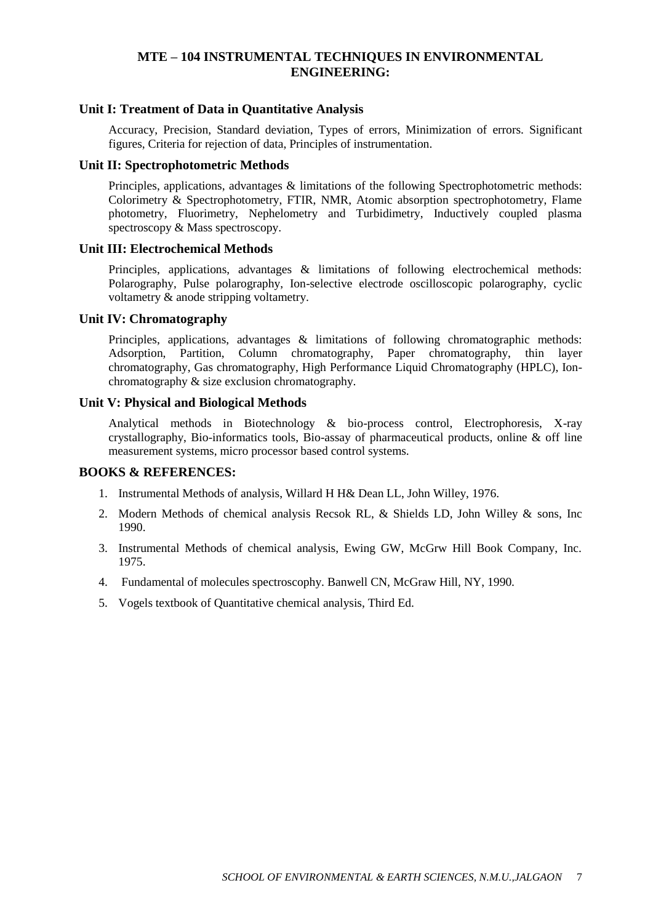# **MTE – 104 INSTRUMENTAL TECHNIQUES IN ENVIRONMENTAL ENGINEERING:**

#### **Unit I: Treatment of Data in Quantitative Analysis**

Accuracy, Precision, Standard deviation, Types of errors, Minimization of errors. Significant figures, Criteria for rejection of data, Principles of instrumentation.

#### **Unit II: Spectrophotometric Methods**

Principles, applications, advantages & limitations of the following Spectrophotometric methods: Colorimetry & Spectrophotometry, FTIR, NMR, Atomic absorption spectrophotometry, Flame photometry, Fluorimetry, Nephelometry and Turbidimetry, Inductively coupled plasma spectroscopy & Mass spectroscopy.

#### **Unit III: Electrochemical Methods**

Principles, applications, advantages & limitations of following electrochemical methods: Polarography, Pulse polarography, Ion-selective electrode oscilloscopic polarography, cyclic voltametry & anode stripping voltametry.

#### **Unit IV: Chromatography**

Principles, applications, advantages & limitations of following chromatographic methods: Adsorption, Partition, Column chromatography, Paper chromatography, thin layer chromatography, Gas chromatography, High Performance Liquid Chromatography (HPLC), Ionchromatography & size exclusion chromatography.

#### **Unit V: Physical and Biological Methods**

Analytical methods in Biotechnology & bio-process control, Electrophoresis, X-ray crystallography, Bio-informatics tools, Bio-assay of pharmaceutical products, online & off line measurement systems, micro processor based control systems.

#### **BOOKS & REFERENCES:**

- 1. Instrumental Methods of analysis, Willard H H& Dean LL, John Willey, 1976.
- 2. Modern Methods of chemical analysis Recsok RL, & Shields LD, John Willey & sons, Inc 1990.
- 3. Instrumental Methods of chemical analysis, Ewing GW, McGrw Hill Book Company, Inc. 1975.
- 4. Fundamental of molecules spectroscophy. Banwell CN, McGraw Hill, NY, 1990.
- 5. Vogels textbook of Quantitative chemical analysis, Third Ed.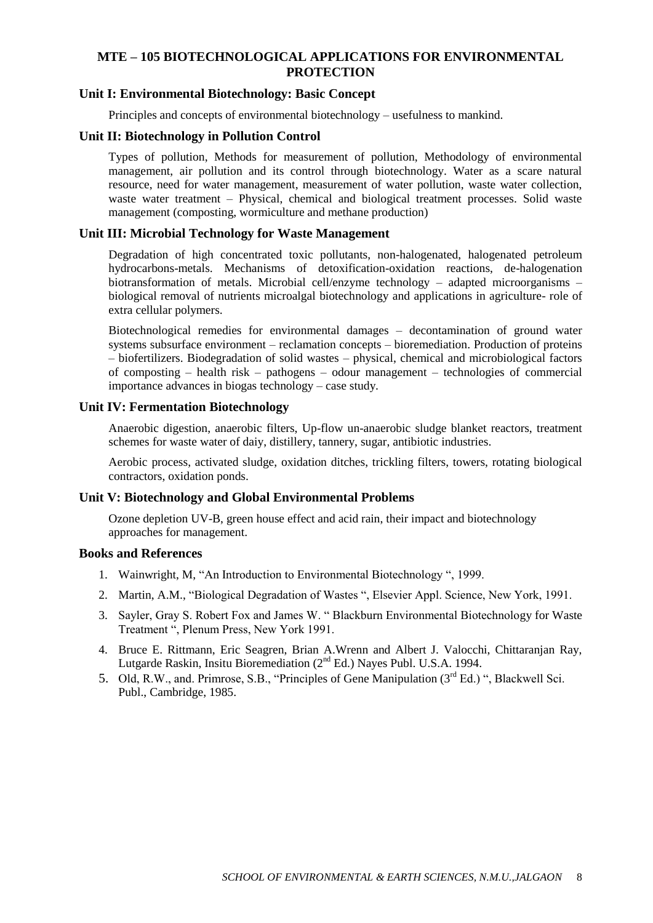# **MTE – 105 BIOTECHNOLOGICAL APPLICATIONS FOR ENVIRONMENTAL PROTECTION**

#### **Unit I: Environmental Biotechnology: Basic Concept**

Principles and concepts of environmental biotechnology – usefulness to mankind.

#### **Unit II: Biotechnology in Pollution Control**

Types of pollution, Methods for measurement of pollution, Methodology of environmental management, air pollution and its control through biotechnology. Water as a scare natural resource, need for water management, measurement of water pollution, waste water collection, waste water treatment – Physical, chemical and biological treatment processes. Solid waste management (composting, wormiculture and methane production)

## **Unit III: Microbial Technology for Waste Management**

Degradation of high concentrated toxic pollutants, non-halogenated, halogenated petroleum hydrocarbons-metals. Mechanisms of detoxification-oxidation reactions, de-halogenation biotransformation of metals. Microbial cell/enzyme technology – adapted microorganisms – biological removal of nutrients microalgal biotechnology and applications in agriculture- role of extra cellular polymers.

Biotechnological remedies for environmental damages – decontamination of ground water systems subsurface environment – reclamation concepts – bioremediation. Production of proteins – biofertilizers. Biodegradation of solid wastes – physical, chemical and microbiological factors of composting – health risk – pathogens – odour management – technologies of commercial importance advances in biogas technology – case study.

# **Unit IV: Fermentation Biotechnology**

Anaerobic digestion, anaerobic filters, Up-flow un-anaerobic sludge blanket reactors, treatment schemes for waste water of daiy, distillery, tannery, sugar, antibiotic industries.

Aerobic process, activated sludge, oxidation ditches, trickling filters, towers, rotating biological contractors, oxidation ponds.

## **Unit V: Biotechnology and Global Environmental Problems**

Ozone depletion UV-B, green house effect and acid rain, their impact and biotechnology approaches for management.

- 1. Wainwright, M, "An Introduction to Environmental Biotechnology ", 1999.
- 2. Martin, A.M., "Biological Degradation of Wastes ", Elsevier Appl. Science, New York, 1991.
- 3. Sayler, Gray S. Robert Fox and James W. " Blackburn Environmental Biotechnology for Waste Treatment ", Plenum Press, New York 1991.
- 4. Bruce E. Rittmann, Eric Seagren, Brian A.Wrenn and Albert J. Valocchi, Chittaranjan Ray, Lutgarde Raskin, Insitu Bioremediation (2<sup>nd</sup> Ed.) Nayes Publ. U.S.A. 1994.
- 5. Old, R.W., and. Primrose, S.B., "Principles of Gene Manipulation (3rd Ed.) ", Blackwell Sci. Publ., Cambridge, 1985.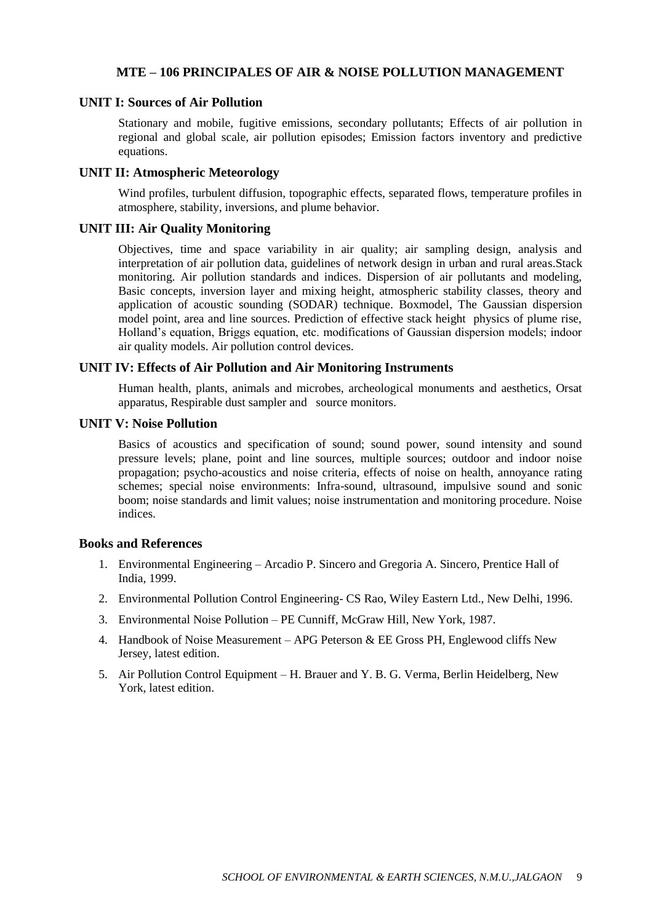## **MTE – 106 PRINCIPALES OF AIR & NOISE POLLUTION MANAGEMENT**

## **UNIT I: Sources of Air Pollution**

Stationary and mobile, fugitive emissions, secondary pollutants; Effects of air pollution in regional and global scale, air pollution episodes; Emission factors inventory and predictive equations.

#### **UNIT II: Atmospheric Meteorology**

Wind profiles, turbulent diffusion, topographic effects, separated flows, temperature profiles in atmosphere, stability, inversions, and plume behavior.

## **UNIT III: Air Quality Monitoring**

Objectives, time and space variability in air quality; air sampling design, analysis and interpretation of air pollution data, guidelines of network design in urban and rural areas.Stack monitoring. Air pollution standards and indices. Dispersion of air pollutants and modeling, Basic concepts, inversion layer and mixing height, atmospheric stability classes, theory and application of acoustic sounding (SODAR) technique. Boxmodel, The Gaussian dispersion model point, area and line sources. Prediction of effective stack height physics of plume rise, Holland's equation, Briggs equation, etc. modifications of Gaussian dispersion models; indoor air quality models. Air pollution control devices.

## **UNIT IV: Effects of Air Pollution and Air Monitoring Instruments**

Human health, plants, animals and microbes, archeological monuments and aesthetics, Orsat apparatus, Respirable dust sampler and source monitors.

#### **UNIT V: Noise Pollution**

Basics of acoustics and specification of sound; sound power, sound intensity and sound pressure levels; plane, point and line sources, multiple sources; outdoor and indoor noise propagation; psycho-acoustics and noise criteria, effects of noise on health, annoyance rating schemes; special noise environments: Infra-sound, ultrasound, impulsive sound and sonic boom; noise standards and limit values; noise instrumentation and monitoring procedure. Noise indices.

- 1. Environmental Engineering Arcadio P. Sincero and Gregoria A. Sincero, Prentice Hall of India, 1999.
- 2. Environmental Pollution Control Engineering- CS Rao, Wiley Eastern Ltd., New Delhi, 1996.
- 3. Environmental Noise Pollution PE Cunniff, McGraw Hill, New York, 1987.
- 4. Handbook of Noise Measurement APG Peterson & EE Gross PH, Englewood cliffs New Jersey, latest edition.
- 5. Air Pollution Control Equipment H. Brauer and Y. B. G. Verma, Berlin Heidelberg, New York, latest edition.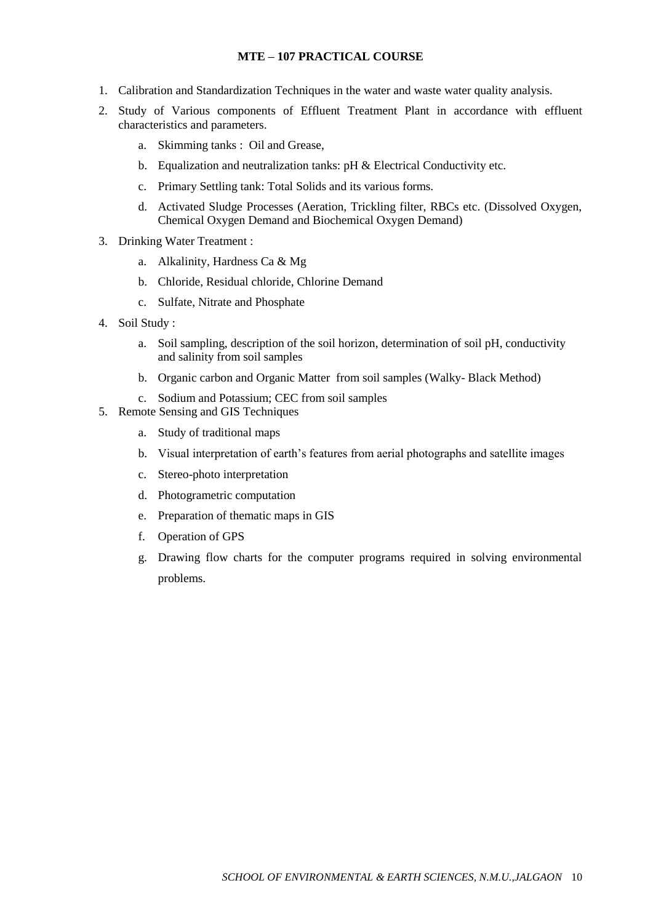## **MTE – 107 PRACTICAL COURSE**

- 1. Calibration and Standardization Techniques in the water and waste water quality analysis.
- 2. Study of Various components of Effluent Treatment Plant in accordance with effluent characteristics and parameters.
	- a. Skimming tanks : Oil and Grease,
	- b. Equalization and neutralization tanks: pH & Electrical Conductivity etc.
	- c. Primary Settling tank: Total Solids and its various forms.
	- d. Activated Sludge Processes (Aeration, Trickling filter, RBCs etc. (Dissolved Oxygen, Chemical Oxygen Demand and Biochemical Oxygen Demand)
- 3. Drinking Water Treatment :
	- a. Alkalinity, Hardness Ca & Mg
	- b. Chloride, Residual chloride, Chlorine Demand
	- c. Sulfate, Nitrate and Phosphate
- 4. Soil Study :
	- a. Soil sampling, description of the soil horizon, determination of soil pH, conductivity and salinity from soil samples
	- b. Organic carbon and Organic Matter from soil samples (Walky- Black Method)
	- c. Sodium and Potassium; CEC from soil samples
- 5. Remote Sensing and GIS Techniques
	- a. Study of traditional maps
	- b. Visual interpretation of earth's features from aerial photographs and satellite images
	- c. Stereo-photo interpretation
	- d. Photogrametric computation
	- e. Preparation of thematic maps in GIS
	- f. Operation of GPS
	- g. Drawing flow charts for the computer programs required in solving environmental problems.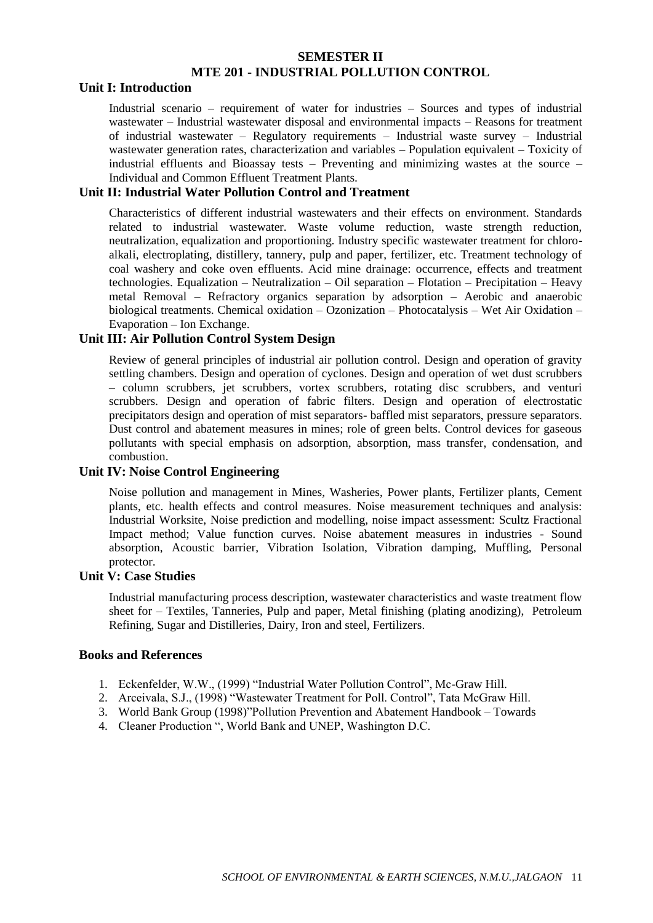# **SEMESTER II MTE 201 - INDUSTRIAL POLLUTION CONTROL**

## **Unit I: Introduction**

Industrial scenario – requirement of water for industries – Sources and types of industrial wastewater – Industrial wastewater disposal and environmental impacts – Reasons for treatment of industrial wastewater – Regulatory requirements – Industrial waste survey – Industrial wastewater generation rates, characterization and variables – Population equivalent – Toxicity of industrial effluents and Bioassay tests – Preventing and minimizing wastes at the source – Individual and Common Effluent Treatment Plants.

## **Unit II: Industrial Water Pollution Control and Treatment**

Characteristics of different industrial wastewaters and their effects on environment. Standards related to industrial wastewater. Waste volume reduction, waste strength reduction, neutralization, equalization and proportioning. Industry specific wastewater treatment for chloroalkali, electroplating, distillery, tannery, pulp and paper, fertilizer, etc. Treatment technology of coal washery and coke oven effluents. Acid mine drainage: occurrence, effects and treatment technologies. Equalization – Neutralization – Oil separation – Flotation – Precipitation – Heavy metal Removal – Refractory organics separation by adsorption – Aerobic and anaerobic biological treatments. Chemical oxidation – Ozonization – Photocatalysis – Wet Air Oxidation – Evaporation – Ion Exchange.

## **Unit III: Air Pollution Control System Design**

Review of general principles of industrial air pollution control. Design and operation of gravity settling chambers. Design and operation of cyclones. Design and operation of wet dust scrubbers – column scrubbers, jet scrubbers, vortex scrubbers, rotating disc scrubbers, and venturi scrubbers. Design and operation of fabric filters. Design and operation of electrostatic precipitators design and operation of mist separators- baffled mist separators, pressure separators. Dust control and abatement measures in mines; role of green belts. Control devices for gaseous pollutants with special emphasis on adsorption, absorption, mass transfer, condensation, and combustion.

# **Unit IV: Noise Control Engineering**

Noise pollution and management in Mines, Washeries, Power plants, Fertilizer plants, Cement plants, etc. health effects and control measures. Noise measurement techniques and analysis: Industrial Worksite, Noise prediction and modelling, noise impact assessment: Scultz Fractional Impact method; Value function curves. Noise abatement measures in industries - Sound absorption, Acoustic barrier, Vibration Isolation, Vibration damping, Muffling, Personal protector.

## **Unit V: Case Studies**

Industrial manufacturing process description, wastewater characteristics and waste treatment flow sheet for – Textiles, Tanneries, Pulp and paper, Metal finishing (plating anodizing), Petroleum Refining, Sugar and Distilleries, Dairy, Iron and steel, Fertilizers.

- 1. Eckenfelder, W.W., (1999) "Industrial Water Pollution Control", Mc-Graw Hill.
- 2. Arceivala, S.J., (1998) "Wastewater Treatment for Poll. Control", Tata McGraw Hill.
- 3. World Bank Group (1998)"Pollution Prevention and Abatement Handbook Towards
- 4. Cleaner Production ", World Bank and UNEP, Washington D.C.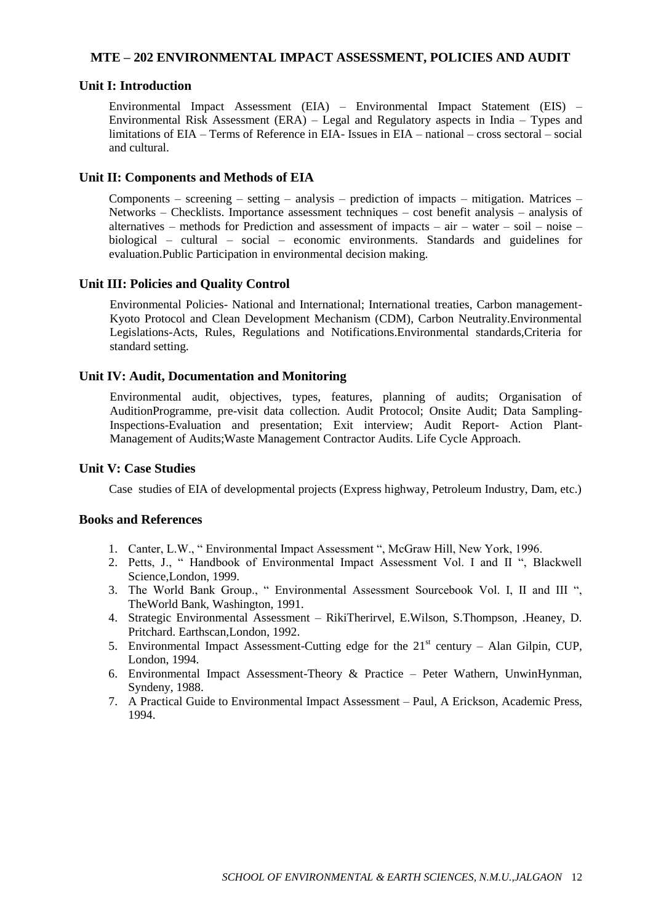### **MTE – 202 ENVIRONMENTAL IMPACT ASSESSMENT, POLICIES AND AUDIT**

#### **Unit I: Introduction**

Environmental Impact Assessment (EIA) – Environmental Impact Statement (EIS) – Environmental Risk Assessment (ERA) – Legal and Regulatory aspects in India – Types and limitations of EIA – Terms of Reference in EIA- Issues in EIA – national – cross sectoral – social and cultural.

#### **Unit II: Components and Methods of EIA**

Components – screening – setting – analysis – prediction of impacts – mitigation. Matrices – Networks – Checklists. Importance assessment techniques – cost benefit analysis – analysis of alternatives – methods for Prediction and assessment of impacts – air – water – soil – noise – biological – cultural – social – economic environments. Standards and guidelines for evaluation.Public Participation in environmental decision making.

## **Unit III: Policies and Quality Control**

Environmental Policies- National and International; International treaties, Carbon management-Kyoto Protocol and Clean Development Mechanism (CDM), Carbon Neutrality.Environmental Legislations-Acts, Rules, Regulations and Notifications.Environmental standards,Criteria for standard setting.

### **Unit IV: Audit, Documentation and Monitoring**

Environmental audit, objectives, types, features, planning of audits; Organisation of AuditionProgramme, pre-visit data collection. Audit Protocol; Onsite Audit; Data Sampling-Inspections-Evaluation and presentation; Exit interview; Audit Report- Action Plant-Management of Audits;Waste Management Contractor Audits. Life Cycle Approach.

#### **Unit V: Case Studies**

Case studies of EIA of developmental projects (Express highway, Petroleum Industry, Dam, etc.)

- 1. Canter, L.W., " Environmental Impact Assessment ", McGraw Hill, New York, 1996.
- 2. Petts, J., " Handbook of Environmental Impact Assessment Vol. I and II ", Blackwell Science,London, 1999.
- 3. The World Bank Group., " Environmental Assessment Sourcebook Vol. I, II and III ", TheWorld Bank, Washington, 1991.
- 4. Strategic Environmental Assessment RikiTherirvel, E.Wilson, S.Thompson, .Heaney, D. Pritchard. Earthscan,London, 1992.
- 5. Environmental Impact Assessment-Cutting edge for the  $21<sup>st</sup>$  century Alan Gilpin, CUP, London, 1994.
- 6. Environmental Impact Assessment-Theory & Practice Peter Wathern, UnwinHynman, Syndeny, 1988.
- 7. A Practical Guide to Environmental Impact Assessment Paul, A Erickson, Academic Press, 1994.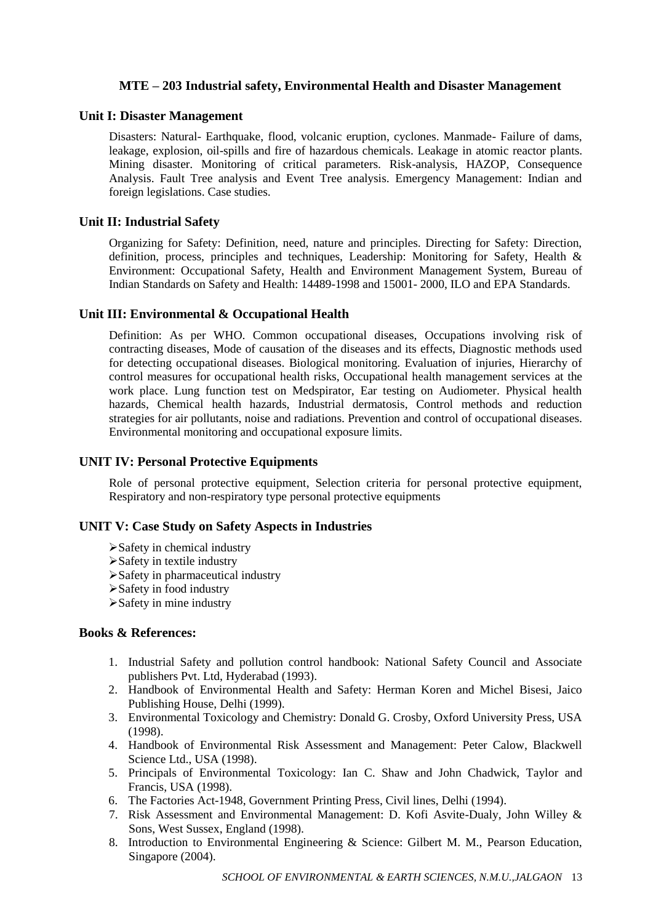# **MTE – 203 Industrial safety, Environmental Health and Disaster Management**

## **Unit I: Disaster Management**

Disasters: Natural- Earthquake, flood, volcanic eruption, cyclones. Manmade- Failure of dams, leakage, explosion, oil-spills and fire of hazardous chemicals. Leakage in atomic reactor plants. Mining disaster. Monitoring of critical parameters. Risk-analysis, HAZOP, Consequence Analysis. Fault Tree analysis and Event Tree analysis. Emergency Management: Indian and foreign legislations. Case studies.

## **Unit II: Industrial Safety**

Organizing for Safety: Definition, need, nature and principles. Directing for Safety: Direction, definition, process, principles and techniques, Leadership: Monitoring for Safety, Health & Environment: Occupational Safety, Health and Environment Management System, Bureau of Indian Standards on Safety and Health: 14489-1998 and 15001- 2000, ILO and EPA Standards.

## **Unit III: Environmental & Occupational Health**

Definition: As per WHO. Common occupational diseases, Occupations involving risk of contracting diseases, Mode of causation of the diseases and its effects, Diagnostic methods used for detecting occupational diseases. Biological monitoring. Evaluation of injuries, Hierarchy of control measures for occupational health risks, Occupational health management services at the work place. Lung function test on Medspirator, Ear testing on Audiometer. Physical health hazards, Chemical health hazards, Industrial dermatosis, Control methods and reduction strategies for air pollutants, noise and radiations. Prevention and control of occupational diseases. Environmental monitoring and occupational exposure limits.

## **UNIT IV: Personal Protective Equipments**

Role of personal protective equipment, Selection criteria for personal protective equipment, Respiratory and non-respiratory type personal protective equipments

# **UNIT V: Case Study on Safety Aspects in Industries**

- Safety in chemical industry
- $\triangleright$  Safety in textile industry
- Safety in pharmaceutical industry
- Safety in food industry
- $\triangleright$  Safety in mine industry

## **Books & References:**

- 1. Industrial Safety and pollution control handbook: National Safety Council and Associate publishers Pvt. Ltd, Hyderabad (1993).
- 2. Handbook of Environmental Health and Safety: Herman Koren and Michel Bisesi, Jaico Publishing House, Delhi (1999).
- 3. Environmental Toxicology and Chemistry: Donald G. Crosby, Oxford University Press, USA (1998).
- 4. Handbook of Environmental Risk Assessment and Management: Peter Calow, Blackwell Science Ltd., USA (1998).
- 5. Principals of Environmental Toxicology: Ian C. Shaw and John Chadwick, Taylor and Francis, USA (1998).
- 6. The Factories Act-1948, Government Printing Press, Civil lines, Delhi (1994).
- 7. Risk Assessment and Environmental Management: D. Kofi Asvite-Dualy, John Willey & Sons, West Sussex, England (1998).
- 8. Introduction to Environmental Engineering & Science: Gilbert M. M., Pearson Education, Singapore (2004).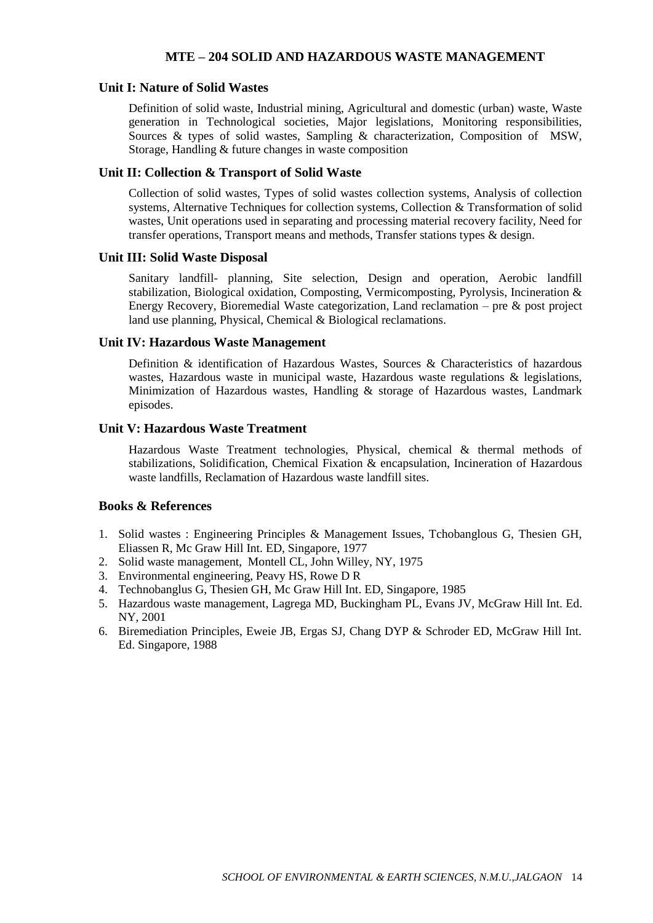## **MTE – 204 SOLID AND HAZARDOUS WASTE MANAGEMENT**

#### **Unit I: Nature of Solid Wastes**

Definition of solid waste, Industrial mining, Agricultural and domestic (urban) waste, Waste generation in Technological societies, Major legislations, Monitoring responsibilities, Sources & types of solid wastes, Sampling & characterization, Composition of MSW, Storage, Handling & future changes in waste composition

### **Unit II: Collection & Transport of Solid Waste**

Collection of solid wastes, Types of solid wastes collection systems, Analysis of collection systems, Alternative Techniques for collection systems, Collection & Transformation of solid wastes, Unit operations used in separating and processing material recovery facility, Need for transfer operations, Transport means and methods, Transfer stations types & design.

#### **Unit III: Solid Waste Disposal**

Sanitary landfill- planning, Site selection, Design and operation, Aerobic landfill stabilization, Biological oxidation, Composting, Vermicomposting, Pyrolysis, Incineration & Energy Recovery, Bioremedial Waste categorization, Land reclamation – pre & post project land use planning, Physical, Chemical & Biological reclamations.

#### **Unit IV: Hazardous Waste Management**

Definition & identification of Hazardous Wastes, Sources & Characteristics of hazardous wastes, Hazardous waste in municipal waste, Hazardous waste regulations  $\&$  legislations, Minimization of Hazardous wastes, Handling & storage of Hazardous wastes, Landmark episodes.

## **Unit V: Hazardous Waste Treatment**

Hazardous Waste Treatment technologies, Physical, chemical & thermal methods of stabilizations, Solidification, Chemical Fixation & encapsulation, Incineration of Hazardous waste landfills, Reclamation of Hazardous waste landfill sites.

## **Books & References**

- 1. Solid wastes : Engineering Principles & Management Issues, Tchobanglous G, Thesien GH, Eliassen R, Mc Graw Hill Int. ED, Singapore, 1977
- 2. Solid waste management, Montell CL, John Willey, NY, 1975
- 3. Environmental engineering, Peavy HS, Rowe D R
- 4. Technobanglus G, Thesien GH, Mc Graw Hill Int. ED, Singapore, 1985
- 5. Hazardous waste management, Lagrega MD, Buckingham PL, Evans JV, McGraw Hill Int. Ed. NY, 2001
- 6. Biremediation Principles, Eweie JB, Ergas SJ, Chang DYP & Schroder ED, McGraw Hill Int. Ed. Singapore, 1988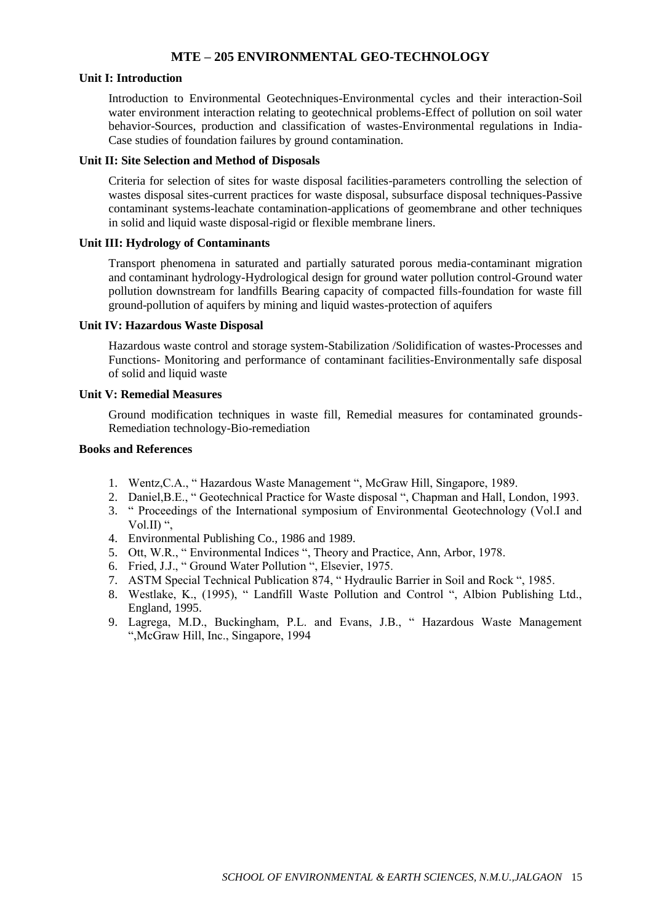## **MTE – 205 ENVIRONMENTAL GEO-TECHNOLOGY**

#### **Unit I: Introduction**

Introduction to Environmental Geotechniques-Environmental cycles and their interaction-Soil water environment interaction relating to geotechnical problems-Effect of pollution on soil water behavior-Sources, production and classification of wastes-Environmental regulations in India-Case studies of foundation failures by ground contamination.

#### **Unit II: Site Selection and Method of Disposals**

Criteria for selection of sites for waste disposal facilities-parameters controlling the selection of wastes disposal sites-current practices for waste disposal, subsurface disposal techniques-Passive contaminant systems-leachate contamination-applications of geomembrane and other techniques in solid and liquid waste disposal-rigid or flexible membrane liners.

#### **Unit III: Hydrology of Contaminants**

Transport phenomena in saturated and partially saturated porous media-contaminant migration and contaminant hydrology-Hydrological design for ground water pollution control-Ground water pollution downstream for landfills Bearing capacity of compacted fills-foundation for waste fill ground-pollution of aquifers by mining and liquid wastes-protection of aquifers

#### **Unit IV: Hazardous Waste Disposal**

Hazardous waste control and storage system-Stabilization /Solidification of wastes-Processes and Functions- Monitoring and performance of contaminant facilities-Environmentally safe disposal of solid and liquid waste

#### **Unit V: Remedial Measures**

Ground modification techniques in waste fill, Remedial measures for contaminated grounds-Remediation technology-Bio-remediation

- 1. Wentz,C.A., " Hazardous Waste Management ", McGraw Hill, Singapore, 1989.
- 2. Daniel,B.E., " Geotechnical Practice for Waste disposal ", Chapman and Hall, London, 1993.
- 3. " Proceedings of the International symposium of Environmental Geotechnology (Vol.I and Vol.II) ",
- 4. Environmental Publishing Co., 1986 and 1989.
- 5. Ott, W.R., " Environmental Indices ", Theory and Practice, Ann, Arbor, 1978.
- 6. Fried, J.J., " Ground Water Pollution ", Elsevier, 1975.
- 7. ASTM Special Technical Publication 874, " Hydraulic Barrier in Soil and Rock ", 1985.
- 8. Westlake, K., (1995), " Landfill Waste Pollution and Control ", Albion Publishing Ltd., England, 1995.
- 9. Lagrega, M.D., Buckingham, P.L. and Evans, J.B., " Hazardous Waste Management ",McGraw Hill, Inc., Singapore, 1994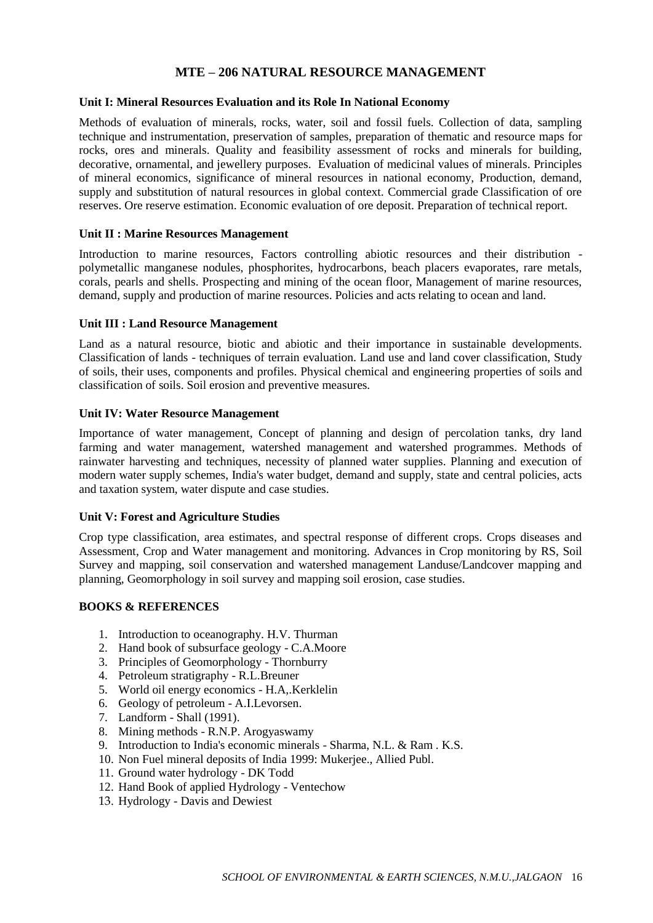# **MTE – 206 NATURAL RESOURCE MANAGEMENT**

### **Unit I: Mineral Resources Evaluation and its Role In National Economy**

Methods of evaluation of minerals, rocks, water, soil and fossil fuels. Collection of data, sampling technique and instrumentation, preservation of samples, preparation of thematic and resource maps for rocks, ores and minerals. Quality and feasibility assessment of rocks and minerals for building, decorative, ornamental, and jewellery purposes. Evaluation of medicinal values of minerals. Principles of mineral economics, significance of mineral resources in national economy, Production, demand, supply and substitution of natural resources in global context. Commercial grade Classification of ore reserves. Ore reserve estimation. Economic evaluation of ore deposit. Preparation of technical report.

#### **Unit II : Marine Resources Management**

Introduction to marine resources, Factors controlling abiotic resources and their distribution polymetallic manganese nodules, phosphorites, hydrocarbons, beach placers evaporates, rare metals, corals, pearls and shells. Prospecting and mining of the ocean floor, Management of marine resources, demand, supply and production of marine resources. Policies and acts relating to ocean and land.

#### **Unit III : Land Resource Management**

Land as a natural resource, biotic and abiotic and their importance in sustainable developments. Classification of lands - techniques of terrain evaluation. Land use and land cover classification, Study of soils, their uses, components and profiles. Physical chemical and engineering properties of soils and classification of soils. Soil erosion and preventive measures.

#### **Unit IV: Water Resource Management**

Importance of water management, Concept of planning and design of percolation tanks, dry land farming and water management, watershed management and watershed programmes. Methods of rainwater harvesting and techniques, necessity of planned water supplies. Planning and execution of modern water supply schemes, India's water budget, demand and supply, state and central policies, acts and taxation system, water dispute and case studies.

## **Unit V: Forest and Agriculture Studies**

Crop type classification, area estimates, and spectral response of different crops. Crops diseases and Assessment, Crop and Water management and monitoring. Advances in Crop monitoring by RS, Soil Survey and mapping, soil conservation and watershed management Landuse/Landcover mapping and planning, Geomorphology in soil survey and mapping soil erosion, case studies.

## **BOOKS & REFERENCES**

- 1. Introduction to oceanography. H.V. Thurman
- 2. Hand book of subsurface geology C.A.Moore
- 3. Principles of Geomorphology Thornburry
- 4. Petroleum stratigraphy R.L.Breuner
- 5. World oil energy economics H.A,.Kerklelin
- 6. Geology of petroleum A.I.Levorsen.
- 7. Landform Shall (1991).
- 8. Mining methods R.N.P. Arogyaswamy
- 9. Introduction to India's economic minerals Sharma, N.L. & Ram . K.S.
- 10. Non Fuel mineral deposits of India 1999: Mukerjee., Allied Publ.
- 11. Ground water hydrology DK Todd
- 12. Hand Book of applied Hydrology Ventechow
- 13. Hydrology Davis and Dewiest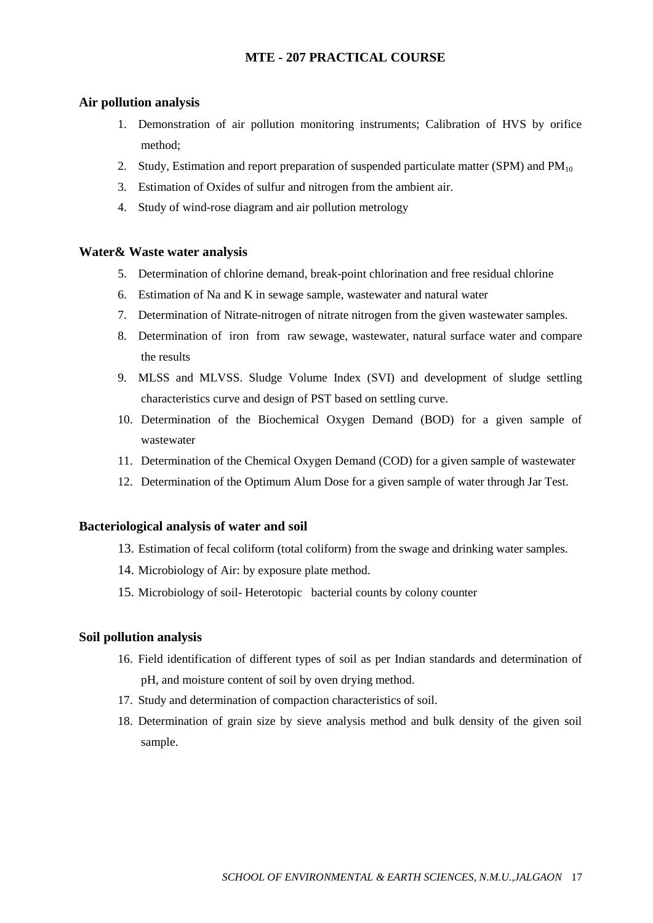## **MTE - 207 PRACTICAL COURSE**

#### **Air pollution analysis**

- 1. Demonstration of air pollution monitoring instruments; Calibration of HVS by orifice method;
- 2. Study, Estimation and report preparation of suspended particulate matter (SPM) and  $PM_{10}$
- 3. Estimation of Oxides of sulfur and nitrogen from the ambient air.
- 4. Study of wind-rose diagram and air pollution metrology

## **Water& Waste water analysis**

- 5. Determination of chlorine demand, break-point chlorination and free residual chlorine
- 6. Estimation of Na and K in sewage sample, wastewater and natural water
- 7. Determination of Nitrate-nitrogen of nitrate nitrogen from the given wastewater samples.
- 8. Determination of iron from raw sewage, wastewater, natural surface water and compare the results
- 9. MLSS and MLVSS. Sludge Volume Index (SVI) and development of sludge settling characteristics curve and design of PST based on settling curve.
- 10. Determination of the Biochemical Oxygen Demand (BOD) for a given sample of wastewater
- 11. Determination of the Chemical Oxygen Demand (COD) for a given sample of wastewater
- 12. Determination of the Optimum Alum Dose for a given sample of water through Jar Test.

## **Bacteriological analysis of water and soil**

- 13. Estimation of fecal coliform (total coliform) from the swage and drinking water samples.
- 14. Microbiology of Air: by exposure plate method.
- 15. Microbiology of soil- Heterotopic bacterial counts by colony counter

#### **Soil pollution analysis**

- 16. Field identification of different types of soil as per Indian standards and determination of pH, and moisture content of soil by oven drying method.
- 17. Study and determination of compaction characteristics of soil.
- 18. Determination of grain size by sieve analysis method and bulk density of the given soil sample.